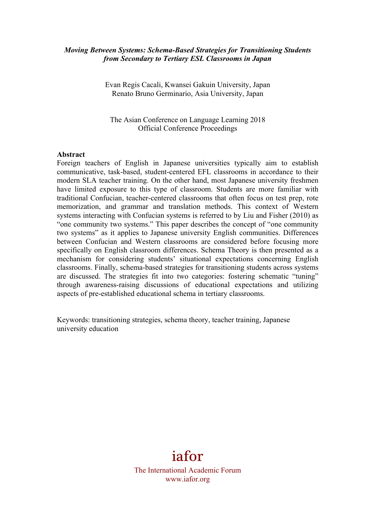## *Moving Between Systems: Schema-Based Strategies for Transitioning Students from Secondary to Tertiary ESL Classrooms in Japan*

Evan Regis Cacali, Kwansei Gakuin University, Japan Renato Bruno Germinario, Asia University, Japan

The Asian Conference on Language Learning 2018 Official Conference Proceedings

#### **Abstract**

Foreign teachers of English in Japanese universities typically aim to establish communicative, task-based, student-centered EFL classrooms in accordance to their modern SLA teacher training. On the other hand, most Japanese university freshmen have limited exposure to this type of classroom. Students are more familiar with traditional Confucian, teacher-centered classrooms that often focus on test prep, rote memorization, and grammar and translation methods. This context of Western systems interacting with Confucian systems is referred to by Liu and Fisher (2010) as "one community two systems." This paper describes the concept of "one community two systems" as it applies to Japanese university English communities. Differences between Confucian and Western classrooms are considered before focusing more specifically on English classroom differences. Schema Theory is then presented as a mechanism for considering students' situational expectations concerning English classrooms. Finally, schema-based strategies for transitioning students across systems are discussed. The strategies fit into two categories: fostering schematic "tuning" through awareness-raising discussions of educational expectations and utilizing aspects of pre-established educational schema in tertiary classrooms.

Keywords: transitioning strategies, schema theory, teacher training, Japanese university education

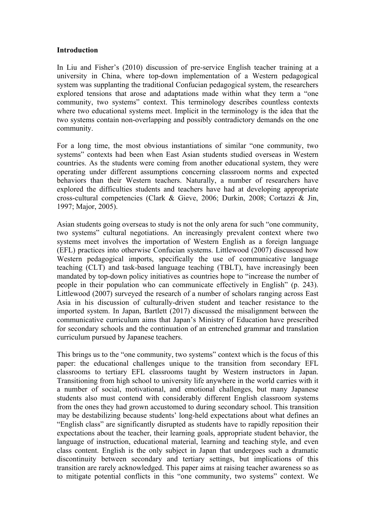### **Introduction**

In Liu and Fisher's (2010) discussion of pre-service English teacher training at a university in China, where top-down implementation of a Western pedagogical system was supplanting the traditional Confucian pedagogical system, the researchers explored tensions that arose and adaptations made within what they term a "one community, two systems" context. This terminology describes countless contexts where two educational systems meet. Implicit in the terminology is the idea that the two systems contain non-overlapping and possibly contradictory demands on the one community.

For a long time, the most obvious instantiations of similar "one community, two systems" contexts had been when East Asian students studied overseas in Western countries. As the students were coming from another educational system, they were operating under different assumptions concerning classroom norms and expected behaviors than their Western teachers. Naturally, a number of researchers have explored the difficulties students and teachers have had at developing appropriate cross-cultural competencies (Clark & Gieve, 2006; Durkin, 2008; Cortazzi & Jin, 1997; Major, 2005).

Asian students going overseas to study is not the only arena for such "one community, two systems" cultural negotiations. An increasingly prevalent context where two systems meet involves the importation of Western English as a foreign language (EFL) practices into otherwise Confucian systems. Littlewood (2007) discussed how Western pedagogical imports, specifically the use of communicative language teaching (CLT) and task-based language teaching (TBLT), have increasingly been mandated by top-down policy initiatives as countries hope to "increase the number of people in their population who can communicate effectively in English" (p. 243). Littlewood (2007) surveyed the research of a number of scholars ranging across East Asia in his discussion of culturally-driven student and teacher resistance to the imported system. In Japan, Bartlett (2017) discussed the misalignment between the communicative curriculum aims that Japan's Ministry of Education have prescribed for secondary schools and the continuation of an entrenched grammar and translation curriculum pursued by Japanese teachers.

This brings us to the "one community, two systems" context which is the focus of this paper: the educational challenges unique to the transition from secondary EFL classrooms to tertiary EFL classrooms taught by Western instructors in Japan. Transitioning from high school to university life anywhere in the world carries with it a number of social, motivational, and emotional challenges, but many Japanese students also must contend with considerably different English classroom systems from the ones they had grown accustomed to during secondary school. This transition may be destabilizing because students' long-held expectations about what defines an "English class" are significantly disrupted as students have to rapidly reposition their expectations about the teacher, their learning goals, appropriate student behavior, the language of instruction, educational material, learning and teaching style, and even class content. English is the only subject in Japan that undergoes such a dramatic discontinuity between secondary and tertiary settings, but implications of this transition are rarely acknowledged. This paper aims at raising teacher awareness so as to mitigate potential conflicts in this "one community, two systems" context. We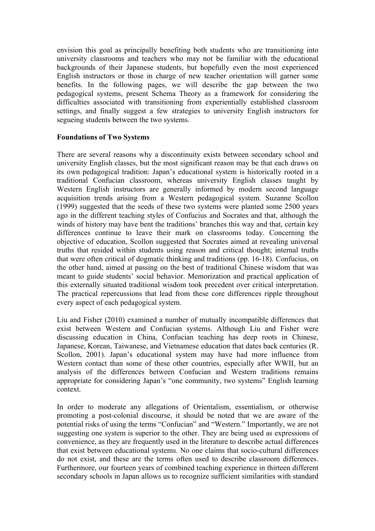envision this goal as principally benefiting both students who are transitioning into university classrooms and teachers who may not be familiar with the educational backgrounds of their Japanese students, but hopefully even the most experienced English instructors or those in charge of new teacher orientation will garner some benefits. In the following pages, we will describe the gap between the two pedagogical systems, present Schema Theory as a framework for considering the difficulties associated with transitioning from experientially established classroom settings, and finally suggest a few strategies to university English instructors for segueing students between the two systems.

# **Foundations of Two Systems**

There are several reasons why a discontinuity exists between secondary school and university English classes, but the most significant reason may be that each draws on its own pedagogical tradition: Japan's educational system is historically rooted in a traditional Confucian classroom, whereas university English classes taught by Western English instructors are generally informed by modern second language acquisition trends arising from a Western pedagogical system. Suzanne Scollon (1999) suggested that the seeds of these two systems were planted some 2500 years ago in the different teaching styles of Confucius and Socrates and that, although the winds of history may have bent the traditions' branches this way and that, certain key differences continue to leave their mark on classrooms today. Concerning the objective of education, Scollon suggested that Socrates aimed at revealing universal truths that resided within students using reason and critical thought; internal truths that were often critical of dogmatic thinking and traditions (pp. 16-18). Confucius, on the other hand, aimed at passing on the best of traditional Chinese wisdom that was meant to guide students' social behavior. Memorization and practical application of this externally situated traditional wisdom took precedent over critical interpretation. The practical repercussions that lead from these core differences ripple throughout every aspect of each pedagogical system.

Liu and Fisher (2010) examined a number of mutually incompatible differences that exist between Western and Confucian systems. Although Liu and Fisher were discussing education in China, Confucian teaching has deep roots in Chinese, Japanese, Korean, Taiwanese, and Vietnamese education that dates back centuries (R. Scollon, 2001). Japan's educational system may have had more influence from Western contact than some of these other countries, especially after WWII, but an analysis of the differences between Confucian and Western traditions remains appropriate for considering Japan's "one community, two systems" English learning context.

In order to moderate any allegations of Orientalism, essentialism, or otherwise promoting a post-colonial discourse, it should be noted that we are aware of the potential risks of using the terms "Confucian" and "Western." Importantly, we are not suggesting one system is superior to the other. They are being used as expressions of convenience, as they are frequently used in the literature to describe actual differences that exist between educational systems. No one claims that socio-cultural differences do not exist, and these are the terms often used to describe classroom differences. Furthermore, our fourteen years of combined teaching experience in thirteen different secondary schools in Japan allows us to recognize sufficient similarities with standard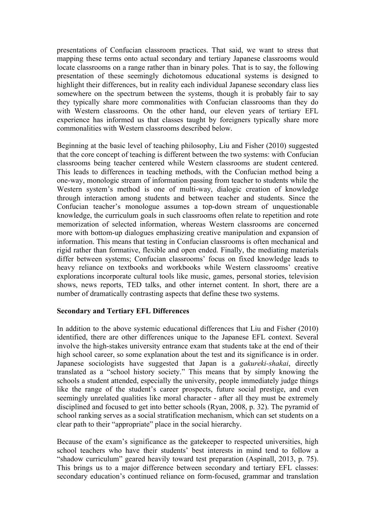presentations of Confucian classroom practices. That said, we want to stress that mapping these terms onto actual secondary and tertiary Japanese classrooms would locate classrooms on a range rather than in binary poles. That is to say, the following presentation of these seemingly dichotomous educational systems is designed to highlight their differences, but in reality each individual Japanese secondary class lies somewhere on the spectrum between the systems, though it is probably fair to say they typically share more commonalities with Confucian classrooms than they do with Western classrooms. On the other hand, our eleven years of tertiary EFL experience has informed us that classes taught by foreigners typically share more commonalities with Western classrooms described below.

Beginning at the basic level of teaching philosophy, Liu and Fisher (2010) suggested that the core concept of teaching is different between the two systems: with Confucian classrooms being teacher centered while Western classrooms are student centered. This leads to differences in teaching methods, with the Confucian method being a one-way, monologic stream of information passing from teacher to students while the Western system's method is one of multi-way, dialogic creation of knowledge through interaction among students and between teacher and students. Since the Confucian teacher's monologue assumes a top-down stream of unquestionable knowledge, the curriculum goals in such classrooms often relate to repetition and rote memorization of selected information, whereas Western classrooms are concerned more with bottom-up dialogues emphasizing creative manipulation and expansion of information. This means that testing in Confucian classrooms is often mechanical and rigid rather than formative, flexible and open ended. Finally, the mediating materials differ between systems; Confucian classrooms' focus on fixed knowledge leads to heavy reliance on textbooks and workbooks while Western classrooms' creative explorations incorporate cultural tools like music, games, personal stories, television shows, news reports, TED talks, and other internet content. In short, there are a number of dramatically contrasting aspects that define these two systems.

### **Secondary and Tertiary EFL Differences**

In addition to the above systemic educational differences that Liu and Fisher (2010) identified, there are other differences unique to the Japanese EFL context. Several involve the high-stakes university entrance exam that students take at the end of their high school career, so some explanation about the test and its significance is in order. Japanese sociologists have suggested that Japan is a *gakureki-shakai*, directly translated as a "school history society." This means that by simply knowing the schools a student attended, especially the university, people immediately judge things like the range of the student's career prospects, future social prestige, and even seemingly unrelated qualities like moral character - after all they must be extremely disciplined and focused to get into better schools (Ryan, 2008, p. 32). The pyramid of school ranking serves as a social stratification mechanism, which can set students on a clear path to their "appropriate" place in the social hierarchy.

Because of the exam's significance as the gatekeeper to respected universities, high school teachers who have their students' best interests in mind tend to follow a "shadow curriculum" geared heavily toward test preparation (Aspinall, 2013, p. 75). This brings us to a major difference between secondary and tertiary EFL classes: secondary education's continued reliance on form-focused, grammar and translation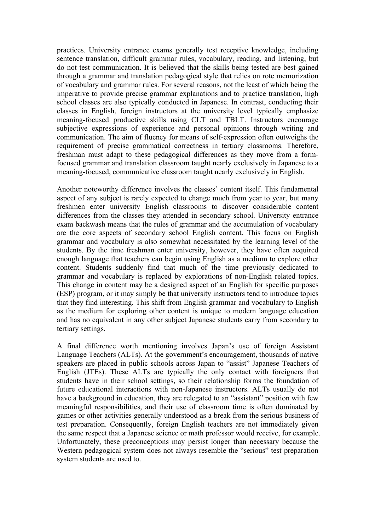practices. University entrance exams generally test receptive knowledge, including sentence translation, difficult grammar rules, vocabulary, reading, and listening, but do not test communication. It is believed that the skills being tested are best gained through a grammar and translation pedagogical style that relies on rote memorization of vocabulary and grammar rules. For several reasons, not the least of which being the imperative to provide precise grammar explanations and to practice translation, high school classes are also typically conducted in Japanese. In contrast, conducting their classes in English, foreign instructors at the university level typically emphasize meaning-focused productive skills using CLT and TBLT. Instructors encourage subjective expressions of experience and personal opinions through writing and communication. The aim of fluency for means of self-expression often outweighs the requirement of precise grammatical correctness in tertiary classrooms. Therefore, freshman must adapt to these pedagogical differences as they move from a formfocused grammar and translation classroom taught nearly exclusively in Japanese to a meaning-focused, communicative classroom taught nearly exclusively in English.

Another noteworthy difference involves the classes' content itself. This fundamental aspect of any subject is rarely expected to change much from year to year, but many freshmen enter university English classrooms to discover considerable content differences from the classes they attended in secondary school. University entrance exam backwash means that the rules of grammar and the accumulation of vocabulary are the core aspects of secondary school English content. This focus on English grammar and vocabulary is also somewhat necessitated by the learning level of the students. By the time freshman enter university, however, they have often acquired enough language that teachers can begin using English as a medium to explore other content. Students suddenly find that much of the time previously dedicated to grammar and vocabulary is replaced by explorations of non-English related topics. This change in content may be a designed aspect of an English for specific purposes (ESP) program, or it may simply be that university instructors tend to introduce topics that they find interesting. This shift from English grammar and vocabulary to English as the medium for exploring other content is unique to modern language education and has no equivalent in any other subject Japanese students carry from secondary to tertiary settings.

A final difference worth mentioning involves Japan's use of foreign Assistant Language Teachers (ALTs). At the government's encouragement, thousands of native speakers are placed in public schools across Japan to "assist" Japanese Teachers of English (JTEs). These ALTs are typically the only contact with foreigners that students have in their school settings, so their relationship forms the foundation of future educational interactions with non-Japanese instructors. ALTs usually do not have a background in education, they are relegated to an "assistant" position with few meaningful responsibilities, and their use of classroom time is often dominated by games or other activities generally understood as a break from the serious business of test preparation. Consequently, foreign English teachers are not immediately given the same respect that a Japanese science or math professor would receive, for example. Unfortunately, these preconceptions may persist longer than necessary because the Western pedagogical system does not always resemble the "serious" test preparation system students are used to.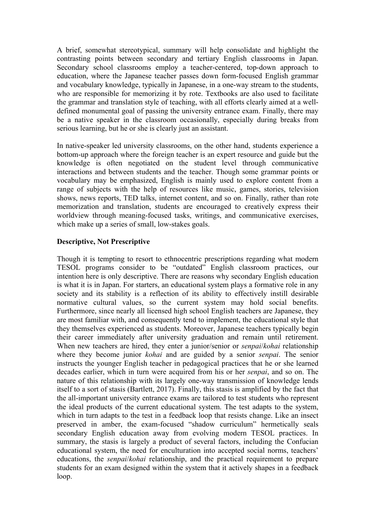A brief, somewhat stereotypical, summary will help consolidate and highlight the contrasting points between secondary and tertiary English classrooms in Japan. Secondary school classrooms employ a teacher-centered, top-down approach to education, where the Japanese teacher passes down form-focused English grammar and vocabulary knowledge, typically in Japanese, in a one-way stream to the students, who are responsible for memorizing it by rote. Textbooks are also used to facilitate the grammar and translation style of teaching, with all efforts clearly aimed at a welldefined monumental goal of passing the university entrance exam. Finally, there may be a native speaker in the classroom occasionally, especially during breaks from serious learning, but he or she is clearly just an assistant.

In native-speaker led university classrooms, on the other hand, students experience a bottom-up approach where the foreign teacher is an expert resource and guide but the knowledge is often negotiated on the student level through communicative interactions and between students and the teacher. Though some grammar points or vocabulary may be emphasized, English is mainly used to explore content from a range of subjects with the help of resources like music, games, stories, television shows, news reports, TED talks, internet content, and so on. Finally, rather than rote memorization and translation, students are encouraged to creatively express their worldview through meaning-focused tasks, writings, and communicative exercises, which make up a series of small, low-stakes goals.

# **Descriptive, Not Prescriptive**

Though it is tempting to resort to ethnocentric prescriptions regarding what modern TESOL programs consider to be "outdated" English classroom practices, our intention here is only descriptive. There are reasons why secondary English education is what it is in Japan. For starters, an educational system plays a formative role in any society and its stability is a reflection of its ability to effectively instill desirable normative cultural values, so the current system may hold social benefits. Furthermore, since nearly all licensed high school English teachers are Japanese, they are most familiar with, and consequently tend to implement, the educational style that they themselves experienced as students. Moreover, Japanese teachers typically begin their career immediately after university graduation and remain until retirement. When new teachers are hired, they enter a junior/senior or *senpai*/*kohai* relationship where they become junior *kohai* and are guided by a senior *senpai*. The senior instructs the younger English teacher in pedagogical practices that he or she learned decades earlier, which in turn were acquired from his or her *senpai*, and so on. The nature of this relationship with its largely one-way transmission of knowledge lends itself to a sort of stasis (Bartlett, 2017). Finally, this stasis is amplified by the fact that the all-important university entrance exams are tailored to test students who represent the ideal products of the current educational system. The test adapts to the system, which in turn adapts to the test in a feedback loop that resists change. Like an insect preserved in amber, the exam-focused "shadow curriculum" hermetically seals secondary English education away from evolving modern TESOL practices. In summary, the stasis is largely a product of several factors, including the Confucian educational system, the need for enculturation into accepted social norms, teachers' educations, the *senpai*/*kohai* relationship, and the practical requirement to prepare students for an exam designed within the system that it actively shapes in a feedback loop.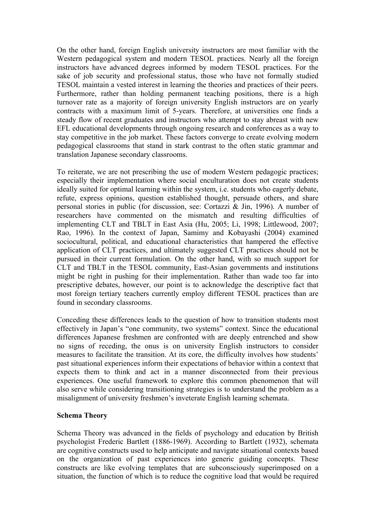On the other hand, foreign English university instructors are most familiar with the Western pedagogical system and modern TESOL practices. Nearly all the foreign instructors have advanced degrees informed by modern TESOL practices. For the sake of job security and professional status, those who have not formally studied TESOL maintain a vested interest in learning the theories and practices of their peers. Furthermore, rather than holding permanent teaching positions, there is a high turnover rate as a majority of foreign university English instructors are on yearly contracts with a maximum limit of 5-years. Therefore, at universities one finds a steady flow of recent graduates and instructors who attempt to stay abreast with new EFL educational developments through ongoing research and conferences as a way to stay competitive in the job market. These factors converge to create evolving modern pedagogical classrooms that stand in stark contrast to the often static grammar and translation Japanese secondary classrooms.

To reiterate, we are not prescribing the use of modern Western pedagogic practices; especially their implementation where social enculturation does not create students ideally suited for optimal learning within the system, i.e. students who eagerly debate, refute, express opinions, question established thought, persuade others, and share personal stories in public (for discussion, see: Cortazzi & Jin, 1996). A number of researchers have commented on the mismatch and resulting difficulties of implementing CLT and TBLT in East Asia (Hu, 2005; Li, 1998; Littlewood, 2007; Rao, 1996). In the context of Japan, Samimy and Kobayashi (2004) examined sociocultural, political, and educational characteristics that hampered the effective application of CLT practices, and ultimately suggested CLT practices should not be pursued in their current formulation. On the other hand, with so much support for CLT and TBLT in the TESOL community, East-Asian governments and institutions might be right in pushing for their implementation. Rather than wade too far into prescriptive debates, however, our point is to acknowledge the descriptive fact that most foreign tertiary teachers currently employ different TESOL practices than are found in secondary classrooms.

Conceding these differences leads to the question of how to transition students most effectively in Japan's "one community, two systems" context. Since the educational differences Japanese freshmen are confronted with are deeply entrenched and show no signs of receding, the onus is on university English instructors to consider measures to facilitate the transition. At its core, the difficulty involves how students' past situational experiences inform their expectations of behavior within a context that expects them to think and act in a manner disconnected from their previous experiences. One useful framework to explore this common phenomenon that will also serve while considering transitioning strategies is to understand the problem as a misalignment of university freshmen's inveterate English learning schemata.

### **Schema Theory**

Schema Theory was advanced in the fields of psychology and education by British psychologist Frederic Bartlett (1886-1969). According to Bartlett (1932), schemata are cognitive constructs used to help anticipate and navigate situational contexts based on the organization of past experiences into generic guiding concepts. These constructs are like evolving templates that are subconsciously superimposed on a situation, the function of which is to reduce the cognitive load that would be required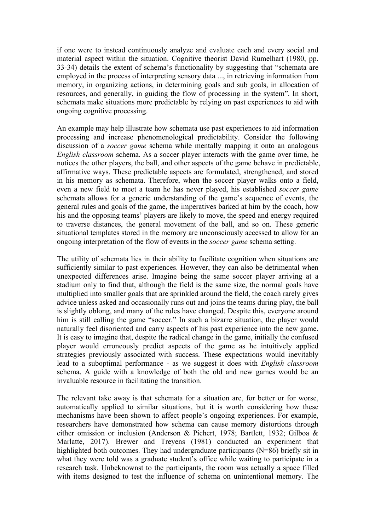if one were to instead continuously analyze and evaluate each and every social and material aspect within the situation. Cognitive theorist David Rumelhart (1980, pp. 33-34) details the extent of schema's functionality by suggesting that "schemata are employed in the process of interpreting sensory data ..., in retrieving information from memory, in organizing actions, in determining goals and sub goals, in allocation of resources, and generally, in guiding the flow of processing in the system". In short, schemata make situations more predictable by relying on past experiences to aid with ongoing cognitive processing.

An example may help illustrate how schemata use past experiences to aid information processing and increase phenomenological predictability. Consider the following discussion of a *soccer game* schema while mentally mapping it onto an analogous *English classroom* schema. As a soccer player interacts with the game over time, he notices the other players, the ball, and other aspects of the game behave in predictable, affirmative ways. These predictable aspects are formulated, strengthened, and stored in his memory as schemata. Therefore, when the soccer player walks onto a field, even a new field to meet a team he has never played, his established *soccer game*  schemata allows for a generic understanding of the game's sequence of events, the general rules and goals of the game, the imperatives barked at him by the coach, how his and the opposing teams' players are likely to move, the speed and energy required to traverse distances, the general movement of the ball, and so on. These generic situational templates stored in the memory are unconsciously accessed to allow for an ongoing interpretation of the flow of events in the *soccer game* schema setting.

The utility of schemata lies in their ability to facilitate cognition when situations are sufficiently similar to past experiences. However, they can also be detrimental when unexpected differences arise. Imagine being the same soccer player arriving at a stadium only to find that, although the field is the same size, the normal goals have multiplied into smaller goals that are sprinkled around the field, the coach rarely gives advice unless asked and occasionally runs out and joins the teams during play, the ball is slightly oblong, and many of the rules have changed. Despite this, everyone around him is still calling the game "soccer." In such a bizarre situation, the player would naturally feel disoriented and carry aspects of his past experience into the new game. It is easy to imagine that, despite the radical change in the game, initially the confused player would erroneously predict aspects of the game as he intuitively applied strategies previously associated with success. These expectations would inevitably lead to a suboptimal performance - as we suggest it does with *English classroom* schema. A guide with a knowledge of both the old and new games would be an invaluable resource in facilitating the transition.

The relevant take away is that schemata for a situation are, for better or for worse, automatically applied to similar situations, but it is worth considering how these mechanisms have been shown to affect people's ongoing experiences. For example, researchers have demonstrated how schema can cause memory distortions through either omission or inclusion (Anderson & Pichert, 1978; Bartlett, 1932; Gilboa & Marlatte, 2017). Brewer and Treyens (1981) conducted an experiment that highlighted both outcomes. They had undergraduate participants (N=86) briefly sit in what they were told was a graduate student's office while waiting to participate in a research task. Unbeknownst to the participants, the room was actually a space filled with items designed to test the influence of schema on unintentional memory. The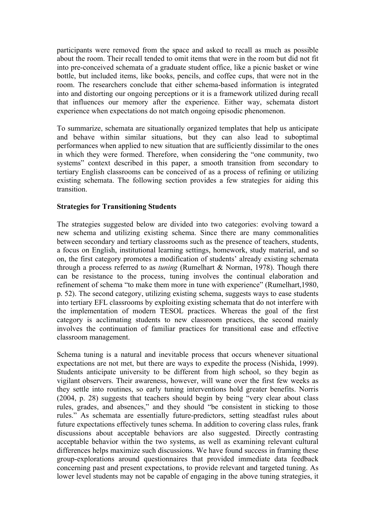participants were removed from the space and asked to recall as much as possible about the room. Their recall tended to omit items that were in the room but did not fit into pre-conceived schemata of a graduate student office, like a picnic basket or wine bottle, but included items, like books, pencils, and coffee cups, that were not in the room. The researchers conclude that either schema-based information is integrated into and distorting our ongoing perceptions or it is a framework utilized during recall that influences our memory after the experience. Either way, schemata distort experience when expectations do not match ongoing episodic phenomenon.

To summarize, schemata are situationally organized templates that help us anticipate and behave within similar situations, but they can also lead to suboptimal performances when applied to new situation that are sufficiently dissimilar to the ones in which they were formed. Therefore, when considering the "one community, two systems" context described in this paper, a smooth transition from secondary to tertiary English classrooms can be conceived of as a process of refining or utilizing existing schemata. The following section provides a few strategies for aiding this transition.

### **Strategies for Transitioning Students**

The strategies suggested below are divided into two categories: evolving toward a new schema and utilizing existing schema. Since there are many commonalities between secondary and tertiary classrooms such as the presence of teachers, students, a focus on English, institutional learning settings, homework, study material, and so on, the first category promotes a modification of students' already existing schemata through a process referred to as *tuning* (Rumelhart & Norman, 1978). Though there can be resistance to the process, tuning involves the continual elaboration and refinement of schema "to make them more in tune with experience" (Rumelhart,1980, p. 52). The second category, utilizing existing schema, suggests ways to ease students into tertiary EFL classrooms by exploiting existing schemata that do not interfere with the implementation of modern TESOL practices. Whereas the goal of the first category is acclimating students to new classroom practices, the second mainly involves the continuation of familiar practices for transitional ease and effective classroom management.

Schema tuning is a natural and inevitable process that occurs whenever situational expectations are not met, but there are ways to expedite the process (Nishida, 1999). Students anticipate university to be different from high school, so they begin as vigilant observers. Their awareness, however, will wane over the first few weeks as they settle into routines, so early tuning interventions hold greater benefits. Norris (2004, p. 28) suggests that teachers should begin by being "very clear about class rules, grades, and absences," and they should "be consistent in sticking to those rules." As schemata are essentially future-predictors, setting steadfast rules about future expectations effectively tunes schema. In addition to covering class rules, frank discussions about acceptable behaviors are also suggested. Directly contrasting acceptable behavior within the two systems, as well as examining relevant cultural differences helps maximize such discussions. We have found success in framing these group-explorations around questionnaires that provided immediate data feedback concerning past and present expectations, to provide relevant and targeted tuning. As lower level students may not be capable of engaging in the above tuning strategies, it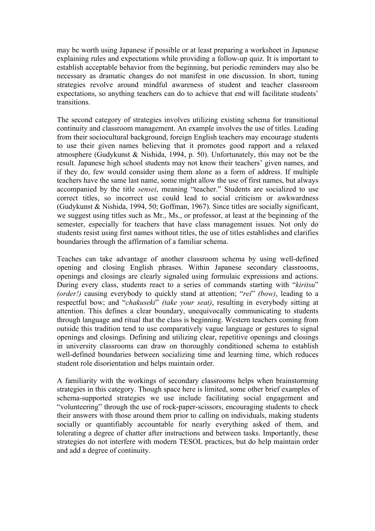may be worth using Japanese if possible or at least preparing a worksheet in Japanese explaining rules and expectations while providing a follow-up quiz. It is important to establish acceptable behavior from the beginning, but periodic reminders may also be necessary as dramatic changes do not manifest in one discussion. In short, tuning strategies revolve around mindful awareness of student and teacher classroom expectations, so anything teachers can do to achieve that end will facilitate students' transitions.

The second category of strategies involves utilizing existing schema for transitional continuity and classroom management. An example involves the use of titles. Leading from their sociocultural background, foreign English teachers may encourage students to use their given names believing that it promotes good rapport and a relaxed atmosphere (Gudykunst & Nishida, 1994, p. 50). Unfortunately, this may not be the result. Japanese high school students may not know their teachers' given names, and if they do, few would consider using them alone as a form of address. If multiple teachers have the same last name, some might allow the use of first names, but always accompanied by the title *sensei*, meaning "teacher." Students are socialized to use correct titles, so incorrect use could lead to social criticism or awkwardness (Gudykunst & Nishida, 1994, 50; Goffman, 1967). Since titles are socially significant, we suggest using titles such as Mr., Ms., or professor, at least at the beginning of the semester, especially for teachers that have class management issues. Not only do students resist using first names without titles, the use of titles establishes and clarifies boundaries through the affirmation of a familiar schema.

Teaches can take advantage of another classroom schema by using well-defined opening and closing English phrases. Within Japanese secondary classrooms, openings and closings are clearly signaled using formulaic expressions and actions. During every class, students react to a series of commands starting with "*kiritsu*" *(order!)* causing everybody to quickly stand at attention; "*rei*" *(bow)*, leading to a respectful bow; and "*chakuseki*" *(take your seat)*, resulting in everybody sitting at attention. This defines a clear boundary, unequivocally communicating to students through language and ritual that the class is beginning. Western teachers coming from outside this tradition tend to use comparatively vague language or gestures to signal openings and closings. Defining and utilizing clear, repetitive openings and closings in university classrooms can draw on thoroughly conditioned schema to establish well-defined boundaries between socializing time and learning time, which reduces student role disorientation and helps maintain order.

A familiarity with the workings of secondary classrooms helps when brainstorming strategies in this category. Though space here is limited, some other brief examples of schema-supported strategies we use include facilitating social engagement and "volunteering" through the use of rock-paper-scissors, encouraging students to check their answers with those around them prior to calling on individuals, making students socially or quantifiably accountable for nearly everything asked of them, and tolerating a degree of chatter after instructions and between tasks. Importantly, these strategies do not interfere with modern TESOL practices, but do help maintain order and add a degree of continuity.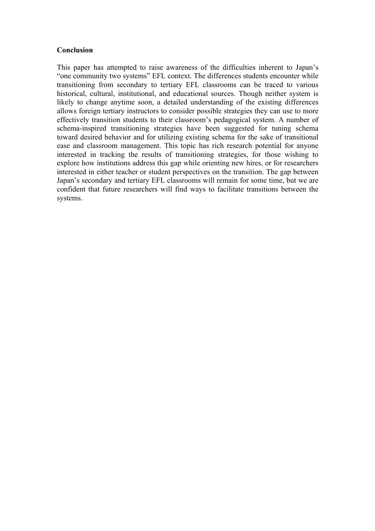# **Conclusion**

This paper has attempted to raise awareness of the difficulties inherent to Japan's "one community two systems" EFL context. The differences students encounter while transitioning from secondary to tertiary EFL classrooms can be traced to various historical, cultural, institutional, and educational sources. Though neither system is likely to change anytime soon, a detailed understanding of the existing differences allows foreign tertiary instructors to consider possible strategies they can use to more effectively transition students to their classroom's pedagogical system. A number of schema-inspired transitioning strategies have been suggested for tuning schema toward desired behavior and for utilizing existing schema for the sake of transitional ease and classroom management. This topic has rich research potential for anyone interested in tracking the results of transitioning strategies, for those wishing to explore how institutions address this gap while orienting new hires, or for researchers interested in either teacher or student perspectives on the transition. The gap between Japan's secondary and tertiary EFL classrooms will remain for some time, but we are confident that future researchers will find ways to facilitate transitions between the systems.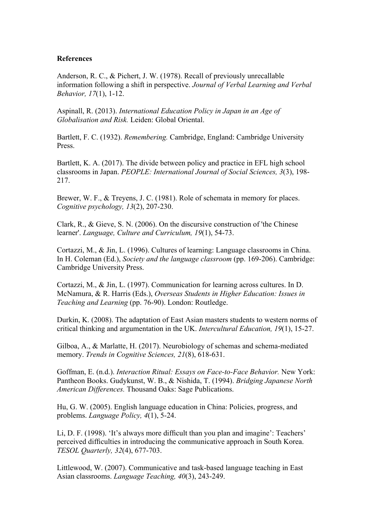### **References**

Anderson, R. C., & Pichert, J. W. (1978). Recall of previously unrecallable information following a shift in perspective. *Journal of Verbal Learning and Verbal Behavior, 17*(1), 1-12.

Aspinall, R. (2013). *International Education Policy in Japan in an Age of Globalisation and Risk.* Leiden: Global Oriental.

Bartlett, F. C. (1932). *Remembering.* Cambridge, England: Cambridge University Press.

Bartlett, K. A. (2017). The divide between policy and practice in EFL high school classrooms in Japan. *PEOPLE: International Journal of Social Sciences, 3*(3), 198- 217.

Brewer, W. F., & Treyens, J. C. (1981). Role of schemata in memory for places. *Cognitive psychology, 13*(2), 207-230.

Clark, R., & Gieve, S. N. (2006). On the discursive construction of 'the Chinese learner'. *Language, Culture and Curriculum, 19*(1), 54-73.

Cortazzi, M., & Jin, L. (1996). Cultures of learning: Language classrooms in China. In H. Coleman (Ed.), *Society and the language classroom* (pp. 169-206). Cambridge: Cambridge University Press.

Cortazzi, M., & Jin, L. (1997). Communication for learning across cultures. In D. McNamura, & R. Harris (Eds.), *Overseas Students in Higher Education: Issues in Teaching and Learning* (pp. 76-90). London: Routledge.

Durkin, K. (2008). The adaptation of East Asian masters students to western norms of critical thinking and argumentation in the UK. *Intercultural Education, 19*(1), 15-27.

Gilboa, A., & Marlatte, H. (2017). Neurobiology of schemas and schema-mediated memory. *Trends in Cognitive Sciences, 21*(8), 618-631.

Goffman, E. (n.d.). *Interaction Ritual: Essays on Face-to-Face Behavior.* New York: Pantheon Books. Gudykunst, W. B., & Nishida, T. (1994). *Bridging Japanese North American Differences.* Thousand Oaks: Sage Publications.

Hu, G. W. (2005). English language education in China: Policies, progress, and problems. *Language Policy, 4*(1), 5-24.

Li, D. F. (1998). 'It's always more difficult than you plan and imagine': Teachers' perceived difficulties in introducing the communicative approach in South Korea. *TESOL Quarterly, 32*(4), 677-703.

Littlewood, W. (2007). Communicative and task-based language teaching in East Asian classrooms. *Language Teaching, 40*(3), 243-249.